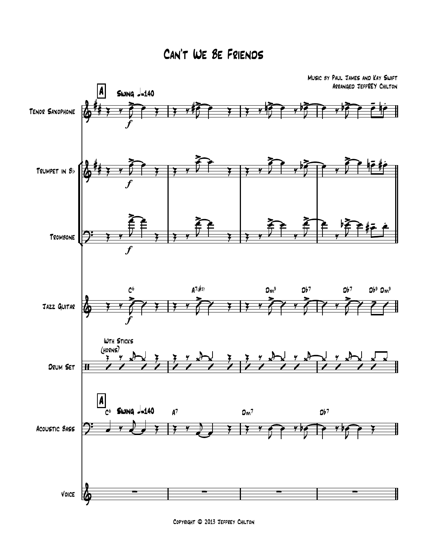Can't We Be Friends



Copyright © 2013 Jeffrey Chilton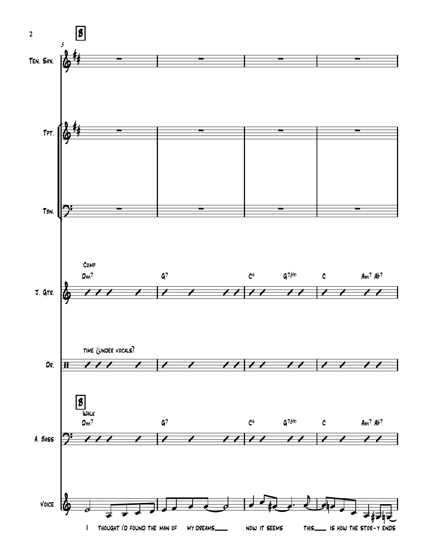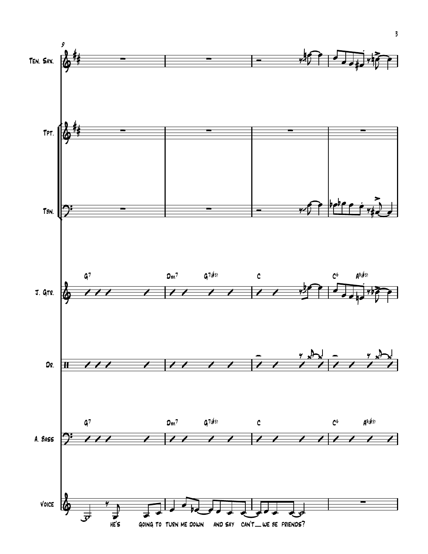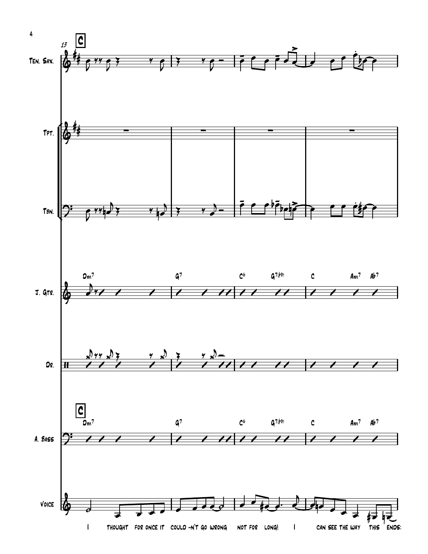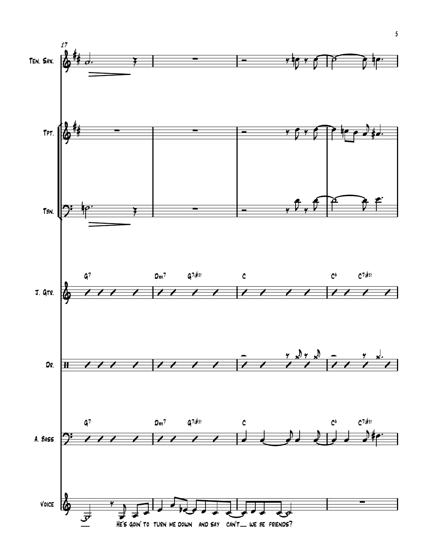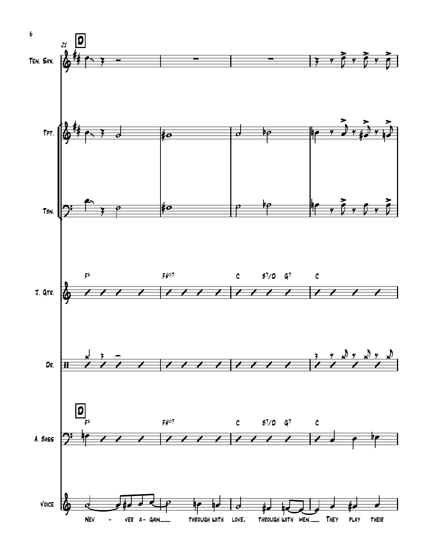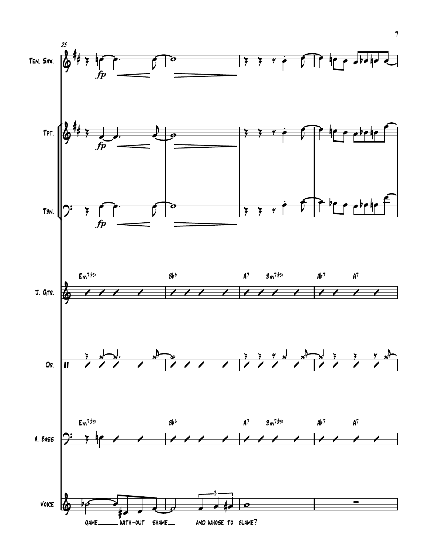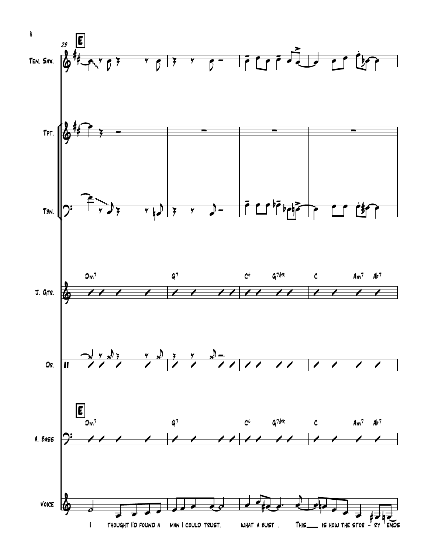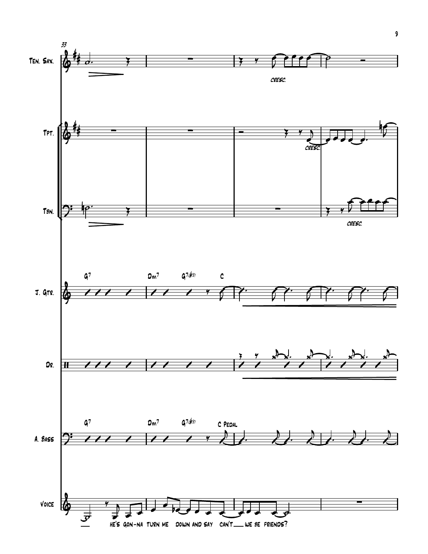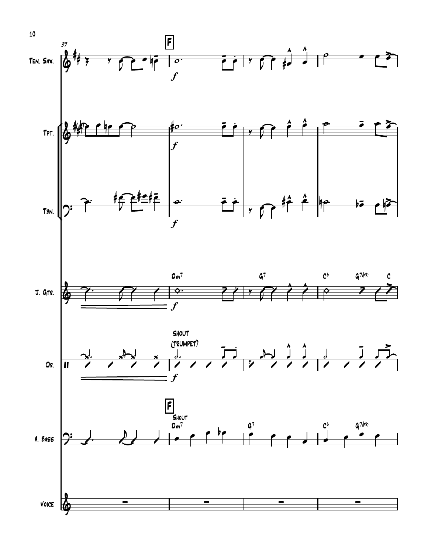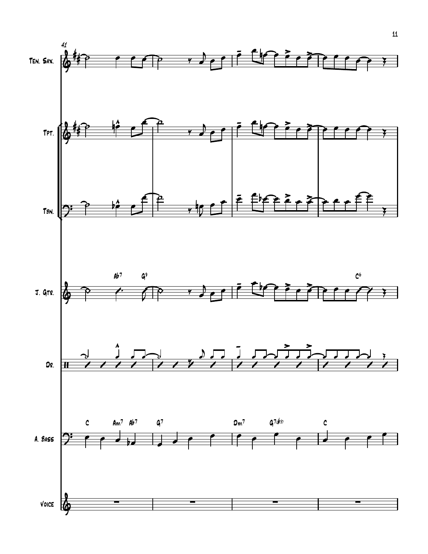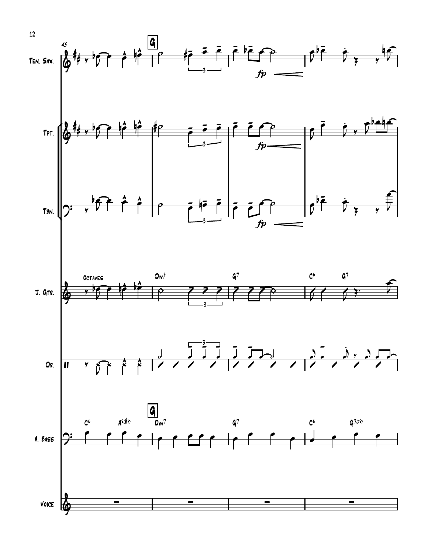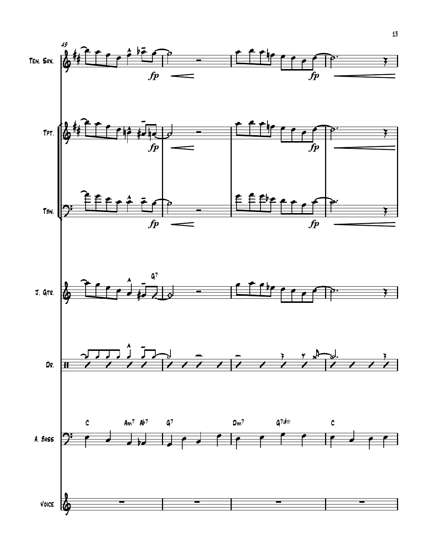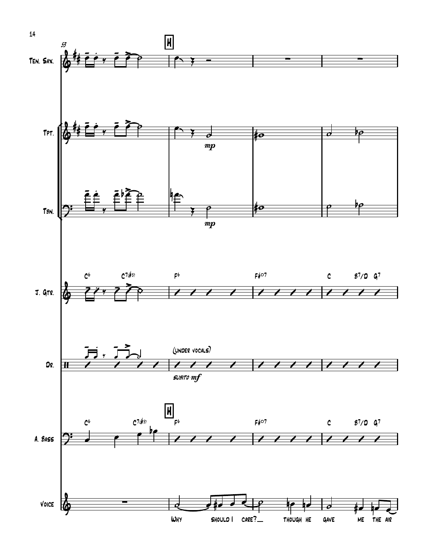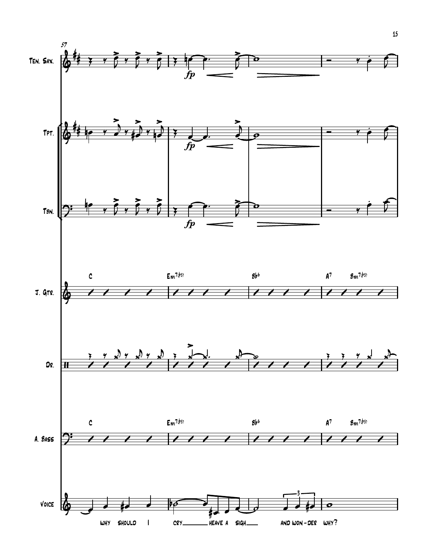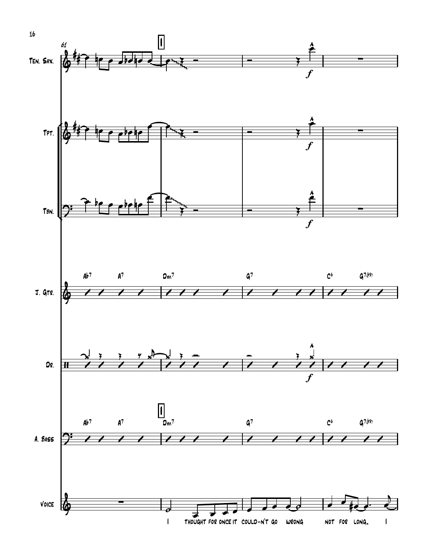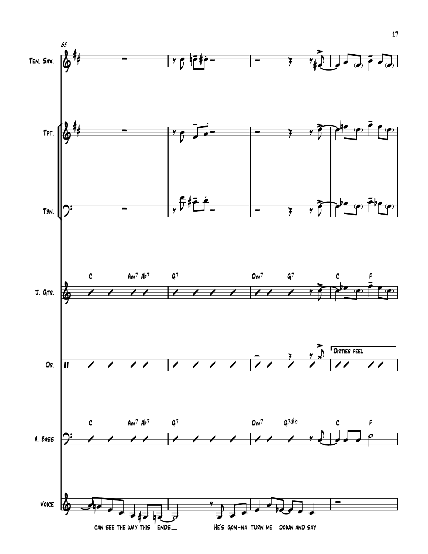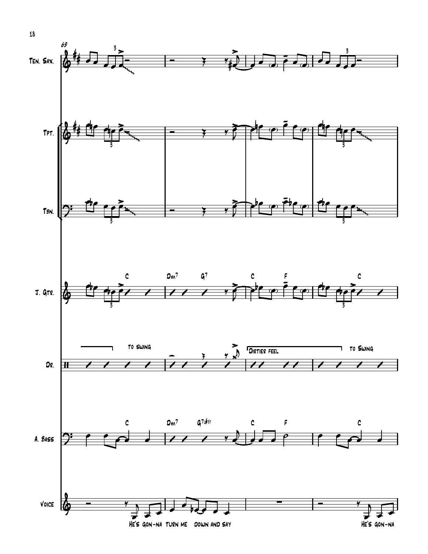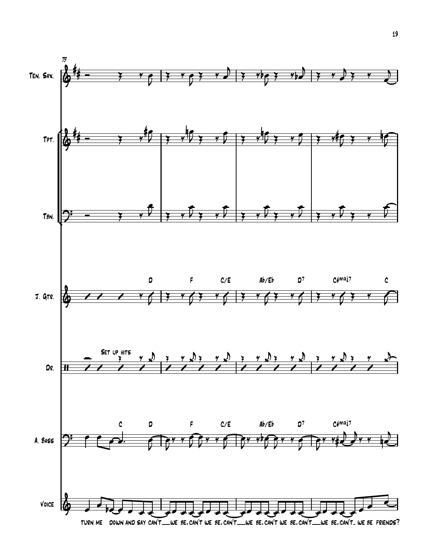